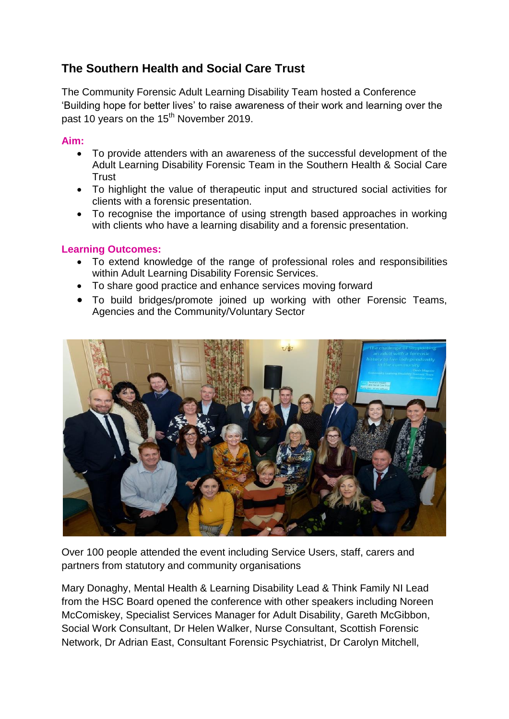## **The Southern Health and Social Care Trust**

The Community Forensic Adult Learning Disability Team hosted a Conference 'Building hope for better lives' to raise awareness of their work and learning over the past 10 years on the 15<sup>th</sup> November 2019.

## **Aim:**

- To provide attenders with an awareness of the successful development of the Adult Learning Disability Forensic Team in the Southern Health & Social Care **Trust**
- To highlight the value of therapeutic input and structured social activities for clients with a forensic presentation.
- To recognise the importance of using strength based approaches in working with clients who have a learning disability and a forensic presentation.

## **Learning Outcomes:**

- To extend knowledge of the range of professional roles and responsibilities within Adult Learning Disability Forensic Services.
- To share good practice and enhance services moving forward
- To build bridges/promote joined up working with other Forensic Teams, Agencies and the Community/Voluntary Sector



Over 100 people attended the event including Service Users, staff, carers and partners from statutory and community organisations

Mary Donaghy, Mental Health & Learning Disability Lead & Think Family NI Lead from the HSC Board opened the conference with other speakers including Noreen McComiskey, Specialist Services Manager for Adult Disability, Gareth McGibbon, Social Work Consultant, Dr Helen Walker, Nurse Consultant, Scottish Forensic Network, Dr Adrian East, Consultant Forensic Psychiatrist, Dr Carolyn Mitchell,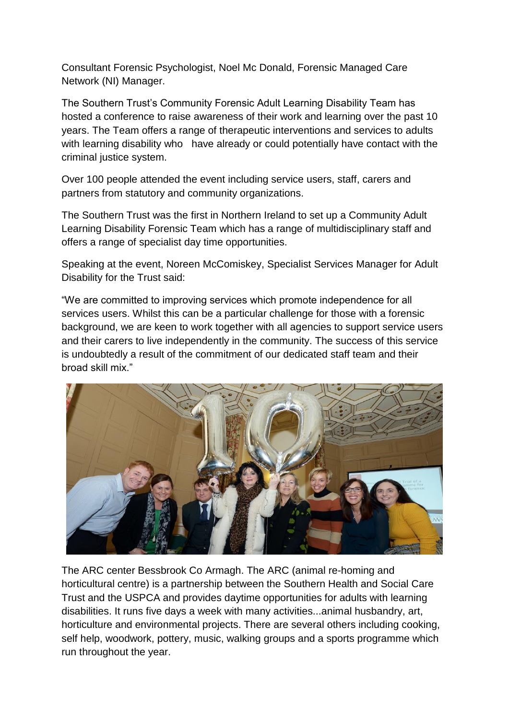Consultant Forensic Psychologist, Noel Mc Donald, Forensic Managed Care Network (NI) Manager.

The Southern Trust's Community Forensic Adult Learning Disability Team has hosted a conference to raise awareness of their work and learning over the past 10 years. The Team offers a range of therapeutic interventions and services to adults with learning disability who have already or could potentially have contact with the criminal justice system.

Over 100 people attended the event including service users, staff, carers and partners from statutory and community organizations.

The Southern Trust was the first in Northern Ireland to set up a Community Adult Learning Disability Forensic Team which has a range of multidisciplinary staff and offers a range of specialist day time opportunities.

Speaking at the event, Noreen McComiskey, Specialist Services Manager for Adult Disability for the Trust said:

"We are committed to improving services which promote independence for all services users. Whilst this can be a particular challenge for those with a forensic background, we are keen to work together with all agencies to support service users and their carers to live independently in the community. The success of this service is undoubtedly a result of the commitment of our dedicated staff team and their broad skill mix."



The ARC center Bessbrook Co Armagh. The ARC (animal re-homing and horticultural centre) is a partnership between the Southern Health and Social Care Trust and the USPCA and provides daytime opportunities for adults with learning disabilities. It runs five days a week with many activities...animal husbandry, art, horticulture and environmental projects. There are several others including cooking, self help, woodwork, pottery, music, walking groups and a sports programme which run throughout the year.